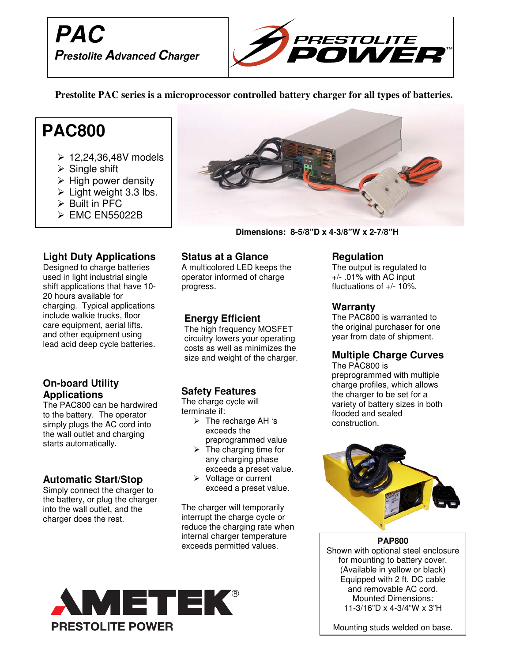



**Prestolite PAC series is a microprocessor controlled battery charger for all types of batteries.**

# **PAC800**

- $\geq 12.24.36.48V$  models
- $\triangleright$  Single shift
- $\triangleright$  High power density
- $\triangleright$  Light weight 3.3 lbs.
- $\triangleright$  Built in PFC
- EMC EN55022B

### **Light Duty Applications**

Designed to charge batteries used in light industrial single shift applications that have 10- 20 hours available for charging. Typical applications include walkie trucks, floor care equipment, aerial lifts, and other equipment using lead acid deep cycle batteries.

#### **On-board Utility Applications**

The PAC800 can be hardwired to the battery. The operator simply plugs the AC cord into the wall outlet and charging starts automatically.

# **Automatic Start/Stop**

Simply connect the charger to the battery, or plug the charger into the wall outlet, and the charger does the rest.

**PRESTOLITE POWER** 



 **Dimensions: 8-5/8"D x 4-3/8"W x 2-7/8"H**

#### **Status at a Glance**

A multicolored LED keeps the operator informed of charge progress.

### **Energy Efficient**

The high frequency MOSFET circuitry lowers your operating costs as well as minimizes the size and weight of the charger.

# **Safety Features**

The charge cycle will terminate if:

- $\triangleright$  The recharge AH 's exceeds the preprogrammed value
- $\triangleright$  The charging time for any charging phase exceeds a preset value.
- $\triangleright$  Voltage or current exceed a preset value.

The charger will temporarily interrupt the charge cycle or reduce the charging rate when internal charger temperature exceeds permitted values.



### **Regulation**

The output is regulated to +/- .01% with AC input fluctuations of +/- 10%.

#### **Warranty**

The PAC800 is warranted to the original purchaser for one year from date of shipment.

# **Multiple Charge Curves**

The PAC800 is preprogrammed with multiple charge profiles, which allows the charger to be set for a variety of battery sizes in both flooded and sealed construction.



**PAP800** Shown with optional steel enclosure for mounting to battery cover. (Available in yellow or black) Equipped with 2 ft. DC cable and removable AC cord. Mounted Dimensions: 11-3/16"D x 4-3/4"W x 3"H

Mounting studs welded on base.